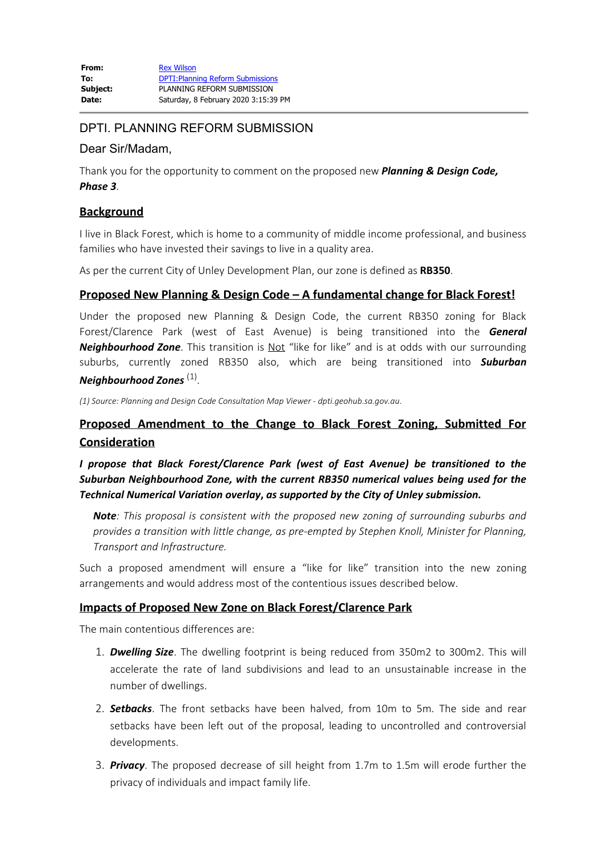## DPTI. PLANNING REFORM SUBMISSION

### Dear Sir/Madam,

Thank you for the opportunity to comment on the proposed new *Planning & Design Code, Phase 3*.

## **Background**

I live in Black Forest, which is home to a community of middle income professional, and business families who have invested their savings to live in a quality area.

As per the current City of Unley Development Plan, our zone is defined as **RB350**.

## **Proposed New Planning & Design Code – A fundamental change for Black Forest!**

Under the proposed new Planning & Design Code, the current RB350 zoning for Black Forest/Clarence Park (west of East Avenue) is being transitioned into the *General Neighbourhood Zone*. This transition is Not "like for like" and is at odds with our surrounding suburbs, currently zoned RB350 also, which are being transitioned into *Suburban Neighbourhood Zones* (1).

*(1) Source: Planning and Design Code Consultation Map Viewer* - *dpti.geohub.sa.gov.au*.

# **Proposed Amendment to the Change to Black Forest Zoning, Submitted For Consideration**

*I propose that Black Forest/Clarence Park (west of East Avenue) be transitioned to the Suburban Neighbourhood Zone, with the current RB350 numerical values being used for the Technical Numerical Variation overlay***,** *as supported by the City of Unley submission.*

*Note: This proposal is consistent with the proposed new zoning of surrounding suburbs and provides a transition with little change, as pre-empted by Stephen Knoll, Minister for Planning, Transport and Infrastructure.*

Such a proposed amendment will ensure a "like for like" transition into the new zoning arrangements and would address most of the contentious issues described below.

### **Impacts of Proposed New Zone on Black Forest/Clarence Park**

The main contentious differences are:

- 1. *Dwelling Size*. The dwelling footprint is being reduced from 350m2 to 300m2. This will accelerate the rate of land subdivisions and lead to an unsustainable increase in the number of dwellings.
- 2. *Setbacks*. The front setbacks have been halved, from 10m to 5m. The side and rear setbacks have been left out of the proposal, leading to uncontrolled and controversial developments.
- 3. *Privacy*. The proposed decrease of sill height from 1.7m to 1.5m will erode further the privacy of individuals and impact family life.